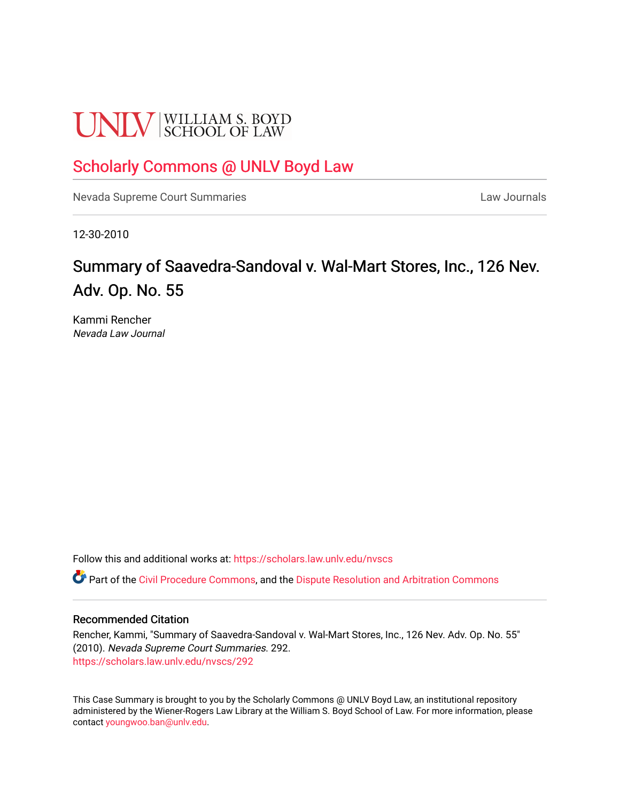# **UNLV** SCHOOL OF LAW

## [Scholarly Commons @ UNLV Boyd Law](https://scholars.law.unlv.edu/)

[Nevada Supreme Court Summaries](https://scholars.law.unlv.edu/nvscs) **Law Journals** Law Journals

12-30-2010

# Summary of Saavedra-Sandoval v. Wal-Mart Stores, Inc., 126 Nev. Adv. Op. No. 55

Kammi Rencher Nevada Law Journal

Follow this and additional works at: [https://scholars.law.unlv.edu/nvscs](https://scholars.law.unlv.edu/nvscs?utm_source=scholars.law.unlv.edu%2Fnvscs%2F292&utm_medium=PDF&utm_campaign=PDFCoverPages)

Part of the [Civil Procedure Commons,](http://network.bepress.com/hgg/discipline/584?utm_source=scholars.law.unlv.edu%2Fnvscs%2F292&utm_medium=PDF&utm_campaign=PDFCoverPages) and the [Dispute Resolution and Arbitration Commons](http://network.bepress.com/hgg/discipline/890?utm_source=scholars.law.unlv.edu%2Fnvscs%2F292&utm_medium=PDF&utm_campaign=PDFCoverPages) 

#### Recommended Citation

Rencher, Kammi, "Summary of Saavedra-Sandoval v. Wal-Mart Stores, Inc., 126 Nev. Adv. Op. No. 55" (2010). Nevada Supreme Court Summaries. 292. [https://scholars.law.unlv.edu/nvscs/292](https://scholars.law.unlv.edu/nvscs/292?utm_source=scholars.law.unlv.edu%2Fnvscs%2F292&utm_medium=PDF&utm_campaign=PDFCoverPages)

This Case Summary is brought to you by the Scholarly Commons @ UNLV Boyd Law, an institutional repository administered by the Wiener-Rogers Law Library at the William S. Boyd School of Law. For more information, please contact [youngwoo.ban@unlv.edu](mailto:youngwoo.ban@unlv.edu).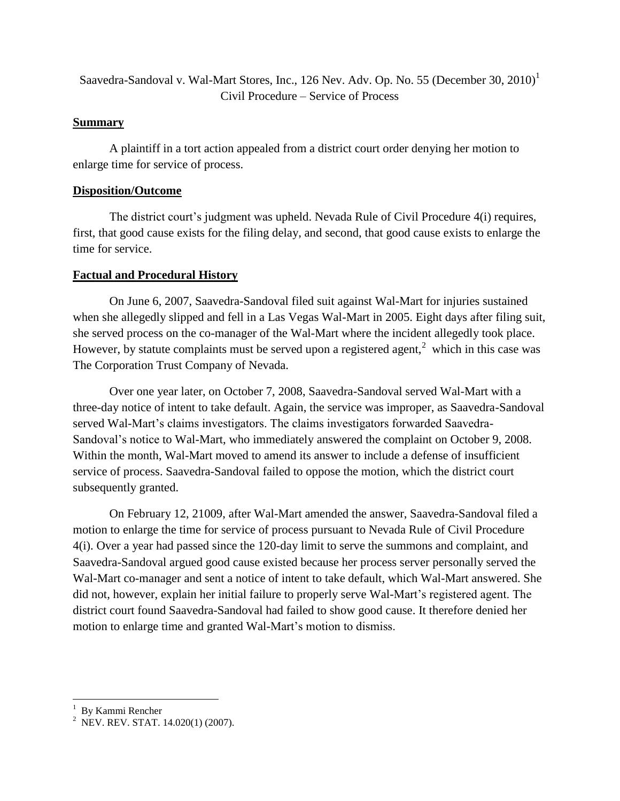Saavedra-Sandoval v. Wal-Mart Stores, Inc., 126 Nev. Adv. Op. No. 55 (December 30, 2010)<sup>1</sup> Civil Procedure – Service of Process

### **Summary**

A plaintiff in a tort action appealed from a district court order denying her motion to enlarge time for service of process.

#### **Disposition/Outcome**

The district court's judgment was upheld. Nevada Rule of Civil Procedure 4(i) requires, first, that good cause exists for the filing delay, and second, that good cause exists to enlarge the time for service.

## **Factual and Procedural History**

On June 6, 2007, Saavedra-Sandoval filed suit against Wal-Mart for injuries sustained when she allegedly slipped and fell in a Las Vegas Wal-Mart in 2005. Eight days after filing suit, she served process on the co-manager of the Wal-Mart where the incident allegedly took place. However, by statute complaints must be served upon a registered agent, $2$  which in this case was The Corporation Trust Company of Nevada.

Over one year later, on October 7, 2008, Saavedra-Sandoval served Wal-Mart with a three-day notice of intent to take default. Again, the service was improper, as Saavedra-Sandoval served Wal-Mart's claims investigators. The claims investigators forwarded Saavedra-Sandoval's notice to Wal-Mart, who immediately answered the complaint on October 9, 2008. Within the month, Wal-Mart moved to amend its answer to include a defense of insufficient service of process. Saavedra-Sandoval failed to oppose the motion, which the district court subsequently granted.

On February 12, 21009, after Wal-Mart amended the answer, Saavedra-Sandoval filed a motion to enlarge the time for service of process pursuant to Nevada Rule of Civil Procedure 4(i). Over a year had passed since the 120-day limit to serve the summons and complaint, and Saavedra-Sandoval argued good cause existed because her process server personally served the Wal-Mart co-manager and sent a notice of intent to take default, which Wal-Mart answered. She did not, however, explain her initial failure to properly serve Wal-Mart's registered agent. The district court found Saavedra-Sandoval had failed to show good cause. It therefore denied her motion to enlarge time and granted Wal-Mart's motion to dismiss.

 1 By Kammi Rencher

<sup>&</sup>lt;sup>2</sup> NEV. REV. STAT. 14.020(1) (2007).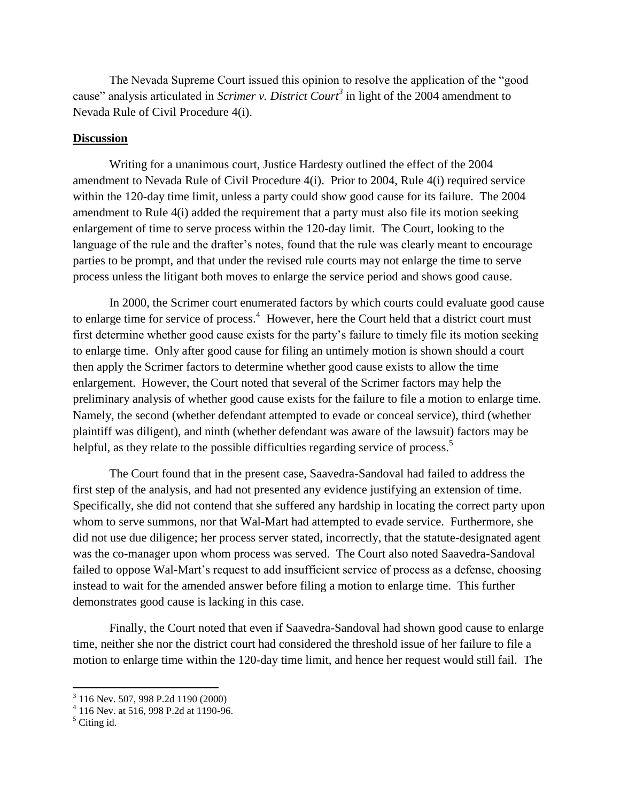The Nevada Supreme Court issued this opinion to resolve the application of the "good cause" analysis articulated in *Scrimer v. District Court<sup>3</sup>* in light of the 2004 amendment to Nevada Rule of Civil Procedure 4(i).

#### **Discussion**

Writing for a unanimous court, Justice Hardesty outlined the effect of the 2004 amendment to Nevada Rule of Civil Procedure 4(i). Prior to 2004, Rule 4(i) required service within the 120-day time limit, unless a party could show good cause for its failure. The 2004 amendment to Rule 4(i) added the requirement that a party must also file its motion seeking enlargement of time to serve process within the 120-day limit. The Court, looking to the language of the rule and the drafter's notes, found that the rule was clearly meant to encourage parties to be prompt, and that under the revised rule courts may not enlarge the time to serve process unless the litigant both moves to enlarge the service period and shows good cause.

In 2000, the Scrimer court enumerated factors by which courts could evaluate good cause to enlarge time for service of process.<sup>4</sup> However, here the Court held that a district court must first determine whether good cause exists for the party's failure to timely file its motion seeking to enlarge time. Only after good cause for filing an untimely motion is shown should a court then apply the Scrimer factors to determine whether good cause exists to allow the time enlargement. However, the Court noted that several of the Scrimer factors may help the preliminary analysis of whether good cause exists for the failure to file a motion to enlarge time. Namely, the second (whether defendant attempted to evade or conceal service), third (whether plaintiff was diligent), and ninth (whether defendant was aware of the lawsuit) factors may be helpful, as they relate to the possible difficulties regarding service of process.<sup>5</sup>

The Court found that in the present case, Saavedra-Sandoval had failed to address the first step of the analysis, and had not presented any evidence justifying an extension of time. Specifically, she did not contend that she suffered any hardship in locating the correct party upon whom to serve summons, nor that Wal-Mart had attempted to evade service. Furthermore, she did not use due diligence; her process server stated, incorrectly, that the statute-designated agent was the co-manager upon whom process was served. The Court also noted Saavedra-Sandoval failed to oppose Wal-Mart's request to add insufficient service of process as a defense, choosing instead to wait for the amended answer before filing a motion to enlarge time. This further demonstrates good cause is lacking in this case.

Finally, the Court noted that even if Saavedra-Sandoval had shown good cause to enlarge time, neither she nor the district court had considered the threshold issue of her failure to file a motion to enlarge time within the 120-day time limit, and hence her request would still fail. The

 3 116 Nev. 507, 998 P.2d 1190 (2000) 4 116 Nev. at 516, 998 P.2d at 1190-96.

 $<sup>5</sup>$  Citing id.</sup>